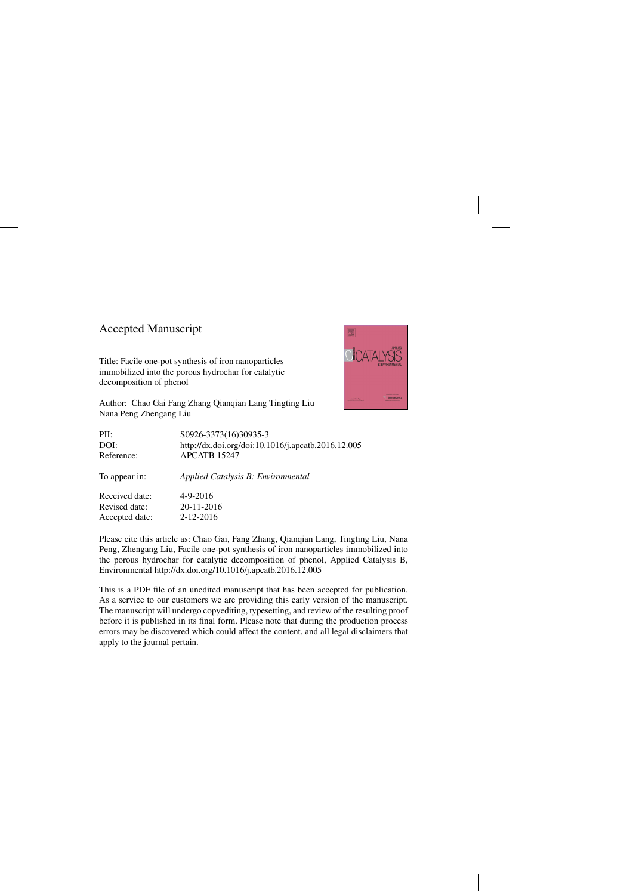### Accepted Manuscript

Title: Facile one-pot synthesis of iron nanoparticles immobilized into the porous hydrochar for catalytic decomposition of phenol



Author: Chao Gai Fang Zhang Qianqian Lang Tingting Liu Nana Peng Zhengang Liu

| PII:           | S0926-3373(16)30935-3                              |
|----------------|----------------------------------------------------|
| DOI:           | http://dx.doi.org/doi:10.1016/j.apcatb.2016.12.005 |
| Reference:     | APCATB 15247                                       |
| To appear in:  | Applied Catalysis B: Environmental                 |
| Received date: | $4 - 9 - 2016$                                     |
| Revised date:  | 20-11-2016                                         |
| Accepted date: | 2-12-2016                                          |
|                |                                                    |

Please cite this article as: Chao Gai, Fang Zhang, Qianqian Lang, Tingting Liu, Nana Peng, Zhengang Liu, Facile one-pot synthesis of iron nanoparticles immobilized into the porous hydrochar for catalytic decomposition of phenol, Applied Catalysis B, Environmental<http://dx.doi.org/10.1016/j.apcatb.2016.12.005>

This is a PDF file of an unedited manuscript that has been accepted for publication. As a service to our customers we are providing this early version of the manuscript. The manuscript will undergo copyediting, typesetting, and review of the resulting proof before it is published in its final form. Please note that during the production process errors may be discovered which could affect the content, and all legal disclaimers that apply to the journal pertain.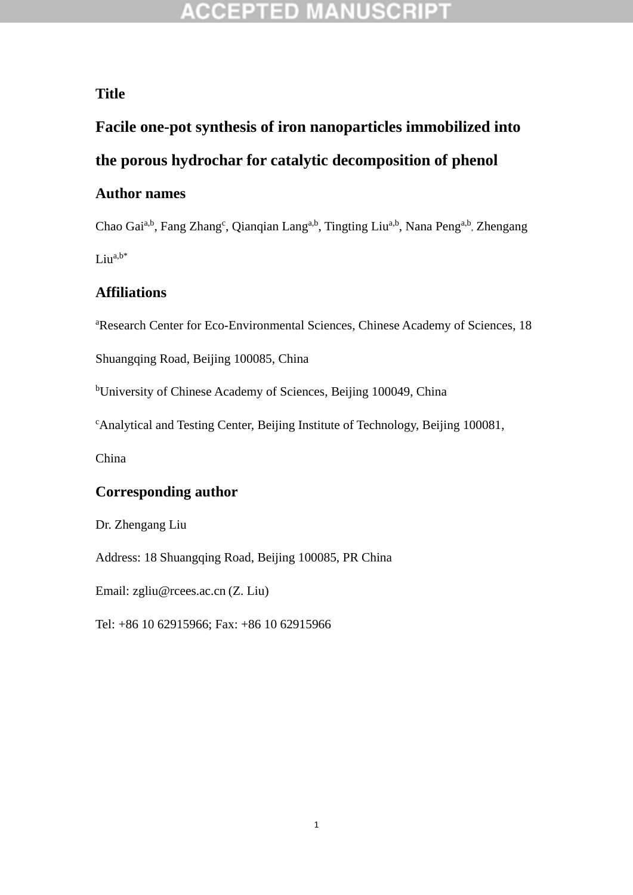### **ACCEPTED MANUSCRIPT**

#### **Title**

# **Facile one-pot synthesis of iron nanoparticles immobilized into the porous hydrochar for catalytic decomposition of phenol**

#### **Author names**

Chao Gai<sup>a,b</sup>, Fang Zhang<sup>c</sup>, Qianqian Lang<sup>a,b</sup>, Tingting Liu<sup>a,b</sup>, Nana Peng<sup>a,b</sup>, Zhengang  $Liu^{a,b*}$ 

#### **Affiliations**

<sup>a</sup>Research Center for Eco-Environmental Sciences, Chinese Academy of Sciences, 18

Shuangqing Road, Beijing 100085, China

<sup>b</sup>University of Chinese Academy of Sciences, Beijing 100049, China

<sup>c</sup>Analytical and Testing Center, Beijing Institute of Technology, Beijing 100081,

China

#### **Corresponding author**

Dr. Zhengang Liu

Address: 18 Shuangqing Road, Beijing 100085, PR China

Email: zgliu@rcees.ac.cn (Z. Liu)

Tel: +86 10 62915966; Fax: +86 10 62915966